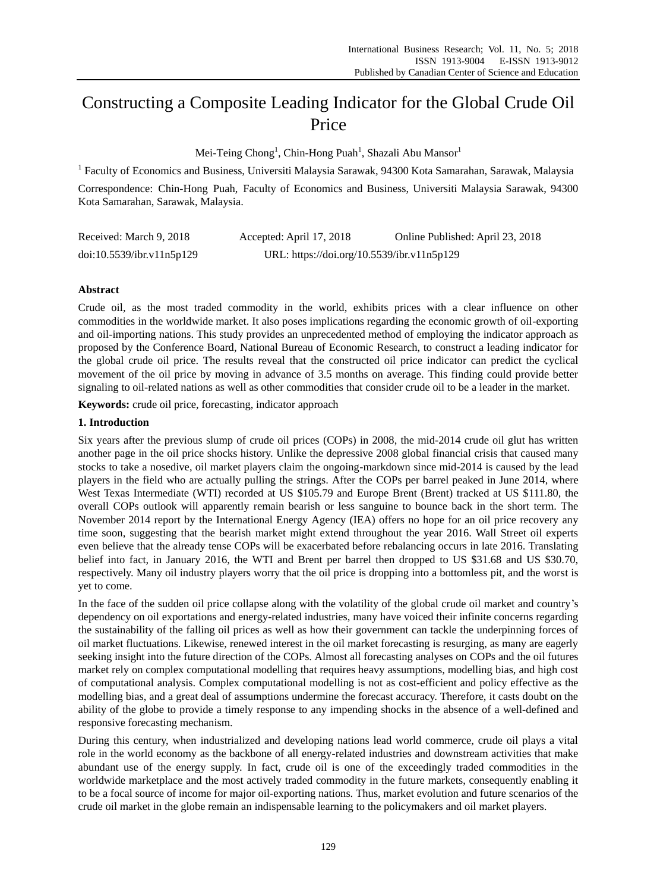# Constructing a Composite Leading Indicator for the Global Crude Oil Price

Mei-Teing Chong $^{\rm l}$ , Chin-Hong Puah $^{\rm l}$ , Shazali Abu Mansor $^{\rm l}$ 

<sup>1</sup> Faculty of Economics and Business, Universiti Malaysia Sarawak, 94300 Kota Samarahan, Sarawak, Malaysia

Correspondence: Chin-Hong Puah, Faculty of Economics and Business, Universiti Malaysia Sarawak, 94300 Kota Samarahan, Sarawak, Malaysia.

| Received: March 9, 2018   | Accepted: April 17, 2018                   | Online Published: April 23, 2018 |  |  |
|---------------------------|--------------------------------------------|----------------------------------|--|--|
| doi:10.5539/ibr.v11n5p129 | URL: https://doi.org/10.5539/ibr.v11n5p129 |                                  |  |  |

## **Abstract**

Crude oil, as the most traded commodity in the world, exhibits prices with a clear influence on other commodities in the worldwide market. It also poses implications regarding the economic growth of oil-exporting and oil-importing nations. This study provides an unprecedented method of employing the indicator approach as proposed by the Conference Board, National Bureau of Economic Research, to construct a leading indicator for the global crude oil price. The results reveal that the constructed oil price indicator can predict the cyclical movement of the oil price by moving in advance of 3.5 months on average. This finding could provide better signaling to oil-related nations as well as other commodities that consider crude oil to be a leader in the market.

**Keywords:** crude oil price, forecasting, indicator approach

## **1. Introduction**

Six years after the previous slump of crude oil prices (COPs) in 2008, the mid-2014 crude oil glut has written another page in the oil price shocks history. Unlike the depressive 2008 global financial crisis that caused many stocks to take a nosedive, oil market players claim the ongoing-markdown since mid-2014 is caused by the lead players in the field who are actually pulling the strings. After the COPs per barrel peaked in June 2014, where West Texas Intermediate (WTI) recorded at US \$105.79 and Europe Brent (Brent) tracked at US \$111.80, the overall COPs outlook will apparently remain bearish or less sanguine to bounce back in the short term. The November 2014 report by the International Energy Agency (IEA) offers no hope for an oil price recovery any time soon, suggesting that the bearish market might extend throughout the year 2016. Wall Street oil experts even believe that the already tense COPs will be exacerbated before rebalancing occurs in late 2016. Translating belief into fact, in January 2016, the WTI and Brent per barrel then dropped to US \$31.68 and US \$30.70, respectively. Many oil industry players worry that the oil price is dropping into a bottomless pit, and the worst is yet to come.

In the face of the sudden oil price collapse along with the volatility of the global crude oil market and country's dependency on oil exportations and energy-related industries, many have voiced their infinite concerns regarding the sustainability of the falling oil prices as well as how their government can tackle the underpinning forces of oil market fluctuations. Likewise, renewed interest in the oil market forecasting is resurging, as many are eagerly seeking insight into the future direction of the COPs. Almost all forecasting analyses on COPs and the oil futures market rely on complex computational modelling that requires heavy assumptions, modelling bias, and high cost of computational analysis. Complex computational modelling is not as cost-efficient and policy effective as the modelling bias, and a great deal of assumptions undermine the forecast accuracy. Therefore, it casts doubt on the ability of the globe to provide a timely response to any impending shocks in the absence of a well-defined and responsive forecasting mechanism.

During this century, when industrialized and developing nations lead world commerce, crude oil plays a vital role in the world economy as the backbone of all energy-related industries and downstream activities that make abundant use of the energy supply. In fact, crude oil is one of the exceedingly traded commodities in the worldwide marketplace and the most actively traded commodity in the future markets, consequently enabling it to be a focal source of income for major oil-exporting nations. Thus, market evolution and future scenarios of the crude oil market in the globe remain an indispensable learning to the policymakers and oil market players.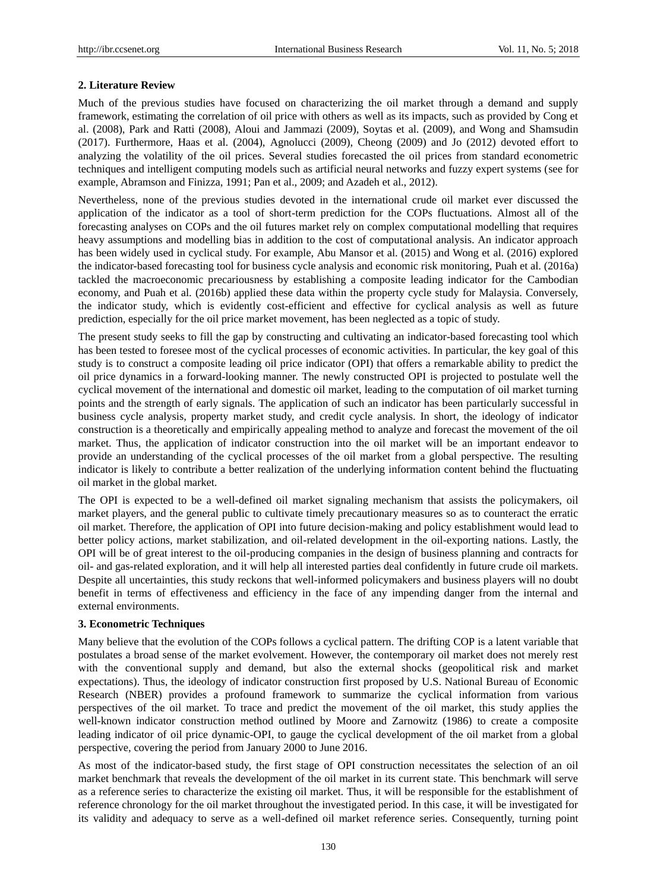### **2. Literature Review**

Much of the previous studies have focused on characterizing the oil market through a demand and supply framework, estimating the correlation of oil price with others as well as its impacts, such as provided by Cong et al. (2008), Park and Ratti (2008), Aloui and Jammazi (2009), Soytas et al. (2009), and Wong and Shamsudin (2017). Furthermore, Haas et al. (2004), Agnolucci (2009), Cheong (2009) and Jo (2012) devoted effort to analyzing the volatility of the oil prices. Several studies forecasted the oil prices from standard econometric techniques and intelligent computing models such as artificial neural networks and fuzzy expert systems (see for example, Abramson and Finizza, 1991; Pan et al., 2009; and Azadeh et al., 2012).

Nevertheless, none of the previous studies devoted in the international crude oil market ever discussed the application of the indicator as a tool of short-term prediction for the COPs fluctuations. Almost all of the forecasting analyses on COPs and the oil futures market rely on complex computational modelling that requires heavy assumptions and modelling bias in addition to the cost of computational analysis. An indicator approach has been widely used in cyclical study. For example, Abu Mansor et al. (2015) and Wong et al. (2016) explored the indicator-based forecasting tool for business cycle analysis and economic risk monitoring, Puah et al. (2016a) tackled the macroeconomic precariousness by establishing a composite leading indicator for the Cambodian economy, and Puah et al. (2016b) applied these data within the property cycle study for Malaysia. Conversely, the indicator study, which is evidently cost-efficient and effective for cyclical analysis as well as future prediction, especially for the oil price market movement, has been neglected as a topic of study.

The present study seeks to fill the gap by constructing and cultivating an indicator-based forecasting tool which has been tested to foresee most of the cyclical processes of economic activities. In particular, the key goal of this study is to construct a composite leading oil price indicator (OPI) that offers a remarkable ability to predict the oil price dynamics in a forward-looking manner. The newly constructed OPI is projected to postulate well the cyclical movement of the international and domestic oil market, leading to the computation of oil market turning points and the strength of early signals. The application of such an indicator has been particularly successful in business cycle analysis, property market study, and credit cycle analysis. In short, the ideology of indicator construction is a theoretically and empirically appealing method to analyze and forecast the movement of the oil market. Thus, the application of indicator construction into the oil market will be an important endeavor to provide an understanding of the cyclical processes of the oil market from a global perspective. The resulting indicator is likely to contribute a better realization of the underlying information content behind the fluctuating oil market in the global market.

The OPI is expected to be a well-defined oil market signaling mechanism that assists the policymakers, oil market players, and the general public to cultivate timely precautionary measures so as to counteract the erratic oil market. Therefore, the application of OPI into future decision-making and policy establishment would lead to better policy actions, market stabilization, and oil-related development in the oil-exporting nations. Lastly, the OPI will be of great interest to the oil-producing companies in the design of business planning and contracts for oil- and gas-related exploration, and it will help all interested parties deal confidently in future crude oil markets. Despite all uncertainties, this study reckons that well-informed policymakers and business players will no doubt benefit in terms of effectiveness and efficiency in the face of any impending danger from the internal and external environments.

#### **3. Econometric Techniques**

Many believe that the evolution of the COPs follows a cyclical pattern. The drifting COP is a latent variable that postulates a broad sense of the market evolvement. However, the contemporary oil market does not merely rest with the conventional supply and demand, but also the external shocks (geopolitical risk and market expectations). Thus, the ideology of indicator construction first proposed by U.S. National Bureau of Economic Research (NBER) provides a profound framework to summarize the cyclical information from various perspectives of the oil market. To trace and predict the movement of the oil market, this study applies the well-known indicator construction method outlined by Moore and Zarnowitz (1986) to create a composite leading indicator of oil price dynamic-OPI, to gauge the cyclical development of the oil market from a global perspective, covering the period from January 2000 to June 2016.

As most of the indicator-based study, the first stage of OPI construction necessitates the selection of an oil market benchmark that reveals the development of the oil market in its current state. This benchmark will serve as a reference series to characterize the existing oil market. Thus, it will be responsible for the establishment of reference chronology for the oil market throughout the investigated period. In this case, it will be investigated for its validity and adequacy to serve as a well-defined oil market reference series. Consequently, turning point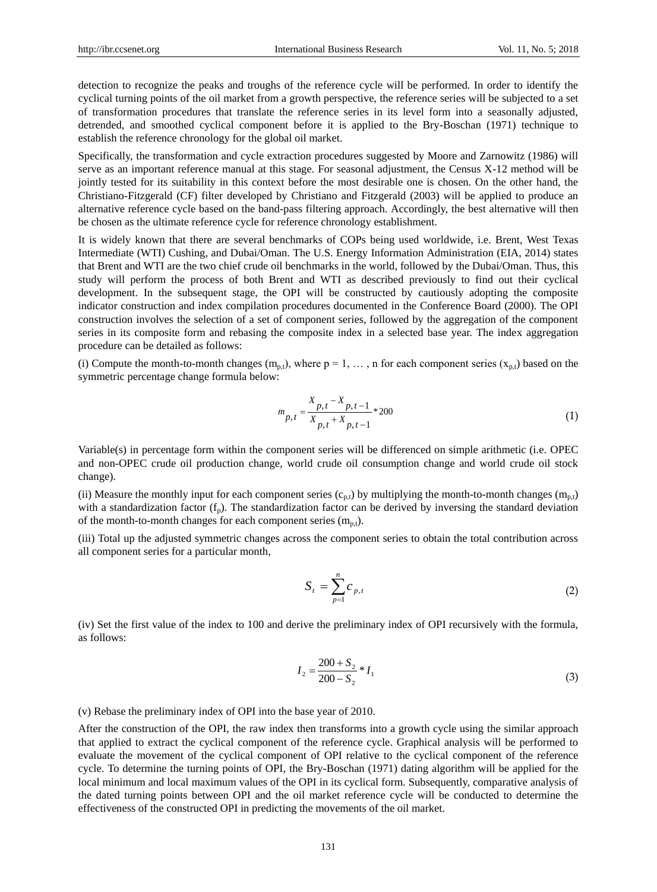detection to recognize the peaks and troughs of the reference cycle will be performed. In order to identify the cyclical turning points of the oil market from a growth perspective, the reference series will be subjected to a set of transformation procedures that translate the reference series in its level form into a seasonally adjusted, detrended, and smoothed cyclical component before it is applied to the Bry-Boschan (1971) technique to establish the reference chronology for the global oil market.

Specifically, the transformation and cycle extraction procedures suggested by Moore and Zarnowitz (1986) will serve as an important reference manual at this stage. For seasonal adjustment, the Census X-12 method will be jointly tested for its suitability in this context before the most desirable one is chosen. On the other hand, the Christiano-Fitzgerald (CF) filter developed by Christiano and Fitzgerald (2003) will be applied to produce an alternative reference cycle based on the band-pass filtering approach. Accordingly, the best alternative will then be chosen as the ultimate reference cycle for reference chronology establishment.

It is widely known that there are several benchmarks of COPs being used worldwide, i.e. Brent, West Texas Intermediate (WTI) Cushing, and Dubai/Oman. The U.S. Energy Information Administration (EIA, 2014) states that Brent and WTI are the two chief crude oil benchmarks in the world, followed by the Dubai/Oman. Thus, this study will perform the process of both Brent and WTI as described previously to find out their cyclical development. In the subsequent stage, the OPI will be constructed by cautiously adopting the composite indicator construction and index compilation procedures documented in the Conference Board (2000). The OPI construction involves the selection of a set of component series, followed by the aggregation of the component series in its composite form and rebasing the composite index in a selected base year. The index aggregation procedure can be detailed as follows:

(i) Compute the month-to-month changes  $(m_{p,t})$ , where  $p = 1, \ldots, n$  for each component series  $(x_{p,t})$  based on the symmetric percentage change formula below:

$$
m_{p,t} = \frac{X_{p,t} - X_{p,t-1}}{X_{p,t} + X_{p,t-1}} * 200
$$
\n(1)

Variable(s) in percentage form within the component series will be differenced on simple arithmetic (i.e. OPEC and non-OPEC crude oil production change, world crude oil consumption change and world crude oil stock change).

(ii) Measure the monthly input for each component series  $(c_{p,t})$  by multiplying the month-to-month changes  $(m_{p,t})$ with a standardization factor  $(f_n)$ . The standardization factor can be derived by inversing the standard deviation of the month-to-month changes for each component series  $(m_{p,t})$ .

(iii) Total up the adjusted symmetric changes across the component series to obtain the total contribution across all component series for a particular month,

$$
S_t = \sum_{p=1}^n c_{p,t} \tag{2}
$$

(iv) Set the first value of the index to 100 and derive the preliminary index of OPI recursively with the formula, as follows:

$$
I_2 = \frac{200 + S_2}{200 - S_2} * I_1
$$
\n(3)

(v) Rebase the preliminary index of OPI into the base year of 2010.

After the construction of the OPI, the raw index then transforms into a growth cycle using the similar approach that applied to extract the cyclical component of the reference cycle. Graphical analysis will be performed to evaluate the movement of the cyclical component of OPI relative to the cyclical component of the reference cycle. To determine the turning points of OPI, the Bry-Boschan (1971) dating algorithm will be applied for the local minimum and local maximum values of the OPI in its cyclical form. Subsequently, comparative analysis of the dated turning points between OPI and the oil market reference cycle will be conducted to determine the effectiveness of the constructed OPI in predicting the movements of the oil market.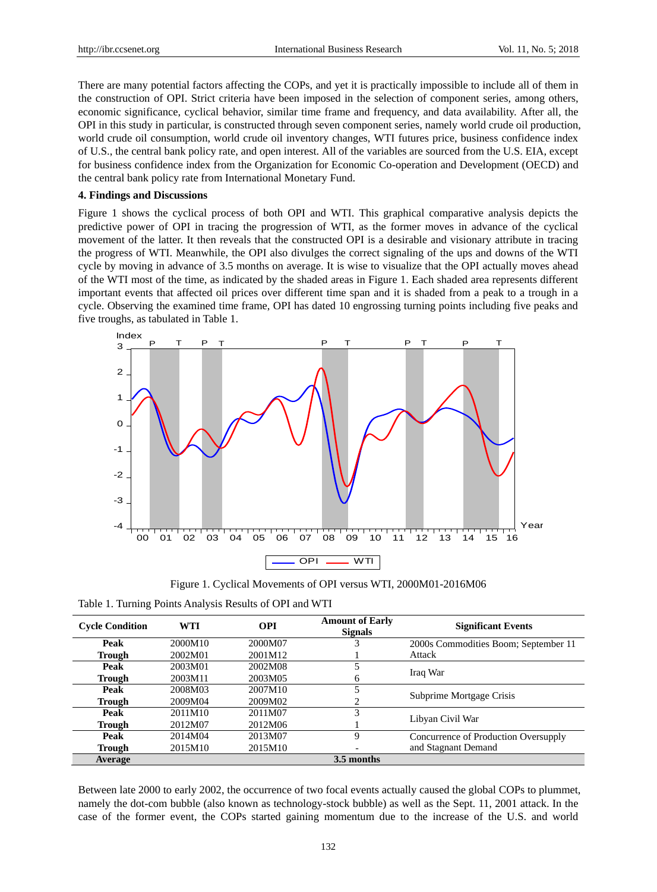There are many potential factors affecting the COPs, and yet it is practically impossible to include all of them in the construction of OPI. Strict criteria have been imposed in the selection of component series, among others, economic significance, cyclical behavior, similar time frame and frequency, and data availability. After all, the OPI in this study in particular, is constructed through seven component series, namely world crude oil production, world crude oil consumption, world crude oil inventory changes, WTI futures price, business confidence index of U.S., the central bank policy rate, and open interest. All of the variables are sourced from the U.S. EIA, except for business confidence index from the Organization for Economic Co-operation and Development (OECD) and the central bank policy rate from International Monetary Fund.

### **4. Findings and Discussions**

Figure 1 shows the cyclical process of both OPI and WTI. This graphical comparative analysis depicts the predictive power of OPI in tracing the progression of WTI, as the former moves in advance of the cyclical movement of the latter. It then reveals that the constructed OPI is a desirable and visionary attribute in tracing the progress of WTI. Meanwhile, the OPI also divulges the correct signaling of the ups and downs of the WTI cycle by moving in advance of 3.5 months on average. It is wise to visualize that the OPI actually moves ahead of the WTI most of the time, as indicated by the shaded areas in Figure 1. Each shaded area represents different important events that affected oil prices over different time span and it is shaded from a peak to a trough in a cycle. Observing the examined time frame, OPI has dated 10 engrossing turning points including five peaks and five troughs, as tabulated in Table 1.



Figure 1. Cyclical Movements of OPI versus WTI, 2000M01-2016M06

| Table 1. Turning Points Analysis Results of OPI and WTI |  |  |
|---------------------------------------------------------|--|--|
|                                                         |  |  |

| <b>Cycle Condition</b> | <b>WTI</b> | <b>OPI</b> | <b>Amount of Early</b><br><b>Signals</b> | <b>Significant Events</b>            |  |
|------------------------|------------|------------|------------------------------------------|--------------------------------------|--|
| Peak                   | 2000M10    | 2000M07    |                                          | 2000s Commodities Boom; September 11 |  |
| <b>Trough</b>          | 2002M01    | 2001M12    |                                          | Attack                               |  |
| Peak                   | 2003M01    | 2002M08    |                                          |                                      |  |
| <b>Trough</b>          | 2003M11    | 2003M05    | <sub>(</sub>                             | Iraq War                             |  |
| Peak                   | 2008M03    | 2007M10    |                                          |                                      |  |
| Trough                 | 2009M04    | 2009M02    |                                          | Subprime Mortgage Crisis             |  |
| Peak                   | 2011M10    | 2011M07    |                                          | Libyan Civil War                     |  |
| <b>Trough</b>          | 2012M07    | 2012M06    |                                          |                                      |  |
| Peak                   | 2014M04    | 2013M07    | 9                                        | Concurrence of Production Oversupply |  |
| <b>Trough</b>          | 2015M10    | 2015M10    |                                          | and Stagnant Demand                  |  |
| <b>Average</b>         |            |            | 3.5 months                               |                                      |  |

Between late 2000 to early 2002, the occurrence of two focal events actually caused the global COPs to plummet, namely the dot-com bubble (also known as technology-stock bubble) as well as the Sept. 11, 2001 attack. In the case of the former event, the COPs started gaining momentum due to the increase of the U.S. and world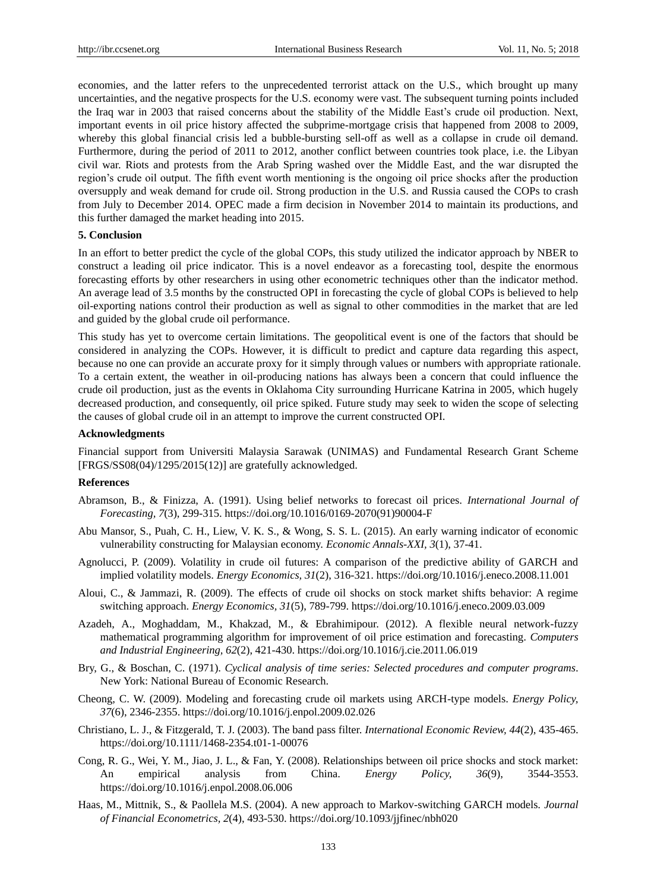economies, and the latter refers to the unprecedented terrorist attack on the U.S., which brought up many uncertainties, and the negative prospects for the U.S. economy were vast. The subsequent turning points included the Iraq war in 2003 that raised concerns about the stability of the Middle East's crude oil production. Next, important events in oil price history affected the subprime-mortgage crisis that happened from 2008 to 2009, whereby this global financial crisis led a bubble-bursting sell-off as well as a collapse in crude oil demand. Furthermore, during the period of 2011 to 2012, another conflict between countries took place, i.e. the Libyan civil war. Riots and protests from the Arab Spring washed over the Middle East, and the war disrupted the region's crude oil output. The fifth event worth mentioning is the ongoing oil price shocks after the production oversupply and weak demand for crude oil. Strong production in the U.S. and Russia caused the COPs to crash from July to December 2014. OPEC made a firm decision in November 2014 to maintain its productions, and this further damaged the market heading into 2015.

## **5. Conclusion**

In an effort to better predict the cycle of the global COPs, this study utilized the indicator approach by NBER to construct a leading oil price indicator. This is a novel endeavor as a forecasting tool, despite the enormous forecasting efforts by other researchers in using other econometric techniques other than the indicator method. An average lead of 3.5 months by the constructed OPI in forecasting the cycle of global COPs is believed to help oil-exporting nations control their production as well as signal to other commodities in the market that are led and guided by the global crude oil performance.

This study has yet to overcome certain limitations. The geopolitical event is one of the factors that should be considered in analyzing the COPs. However, it is difficult to predict and capture data regarding this aspect, because no one can provide an accurate proxy for it simply through values or numbers with appropriate rationale. To a certain extent, the weather in oil-producing nations has always been a concern that could influence the crude oil production, just as the events in Oklahoma City surrounding Hurricane Katrina in 2005, which hugely decreased production, and consequently, oil price spiked. Future study may seek to widen the scope of selecting the causes of global crude oil in an attempt to improve the current constructed OPI.

#### **Acknowledgments**

Financial support from Universiti Malaysia Sarawak (UNIMAS) and Fundamental Research Grant Scheme [FRGS/SS08(04)/1295/2015(12)] are gratefully acknowledged.

## **References**

- Abramson, B., & Finizza, A. (1991). Using belief networks to forecast oil prices. *International Journal of Forecasting, 7*(3), 299-315. https://doi.org/10.1016/0169-2070(91)90004-F
- Abu Mansor, S., Puah, C. H., Liew, V. K. S., & Wong, S. S. L. (2015). An early warning indicator of economic vulnerability constructing for Malaysian economy. *Economic Annals-XXI, 3*(1), 37-41.
- Agnolucci, P. (2009). Volatility in crude oil futures: A comparison of the predictive ability of GARCH and implied volatility models. *Energy Economics, 31*(2), 316-321. https://doi.org/10.1016/j.eneco.2008.11.001
- Aloui, C., & Jammazi, R. (2009). The effects of crude oil shocks on stock market shifts behavior: A regime switching approach. *Energy Economics, 31*(5), 789-799. https://doi.org/10.1016/j.eneco.2009.03.009
- Azadeh, A., Moghaddam, M., Khakzad, M., & Ebrahimipour. (2012). A flexible neural network-fuzzy mathematical programming algorithm for improvement of oil price estimation and forecasting. *Computers and Industrial Engineering, 62*(2), 421-430. https://doi.org/10.1016/j.cie.2011.06.019
- Bry, G., & Boschan, C. (1971). *Cyclical analysis of time series: Selected procedures and computer programs*. New York: National Bureau of Economic Research.
- Cheong, C. W. (2009). Modeling and forecasting crude oil markets using ARCH-type models. *Energy Policy, 37*(6), 2346-2355. https://doi.org/10.1016/j.enpol.2009.02.026
- Christiano, L. J., & Fitzgerald, T. J. (2003). The band pass filter. *International Economic Review, 44*(2), 435-465. https://doi.org/10.1111/1468-2354.t01-1-00076
- Cong, R. G., Wei, Y. M., Jiao, J. L., & Fan, Y. (2008). Relationships between oil price shocks and stock market: An empirical analysis from China. *Energy Policy, 36*(9), 3544-3553. https://doi.org/10.1016/j.enpol.2008.06.006
- Haas, M., Mittnik, S., & Paollela M.S. (2004). A new approach to Markov-switching GARCH models. *Journal of Financial Econometrics, 2*(4), 493-530. https://doi.org/10.1093/jjfinec/nbh020